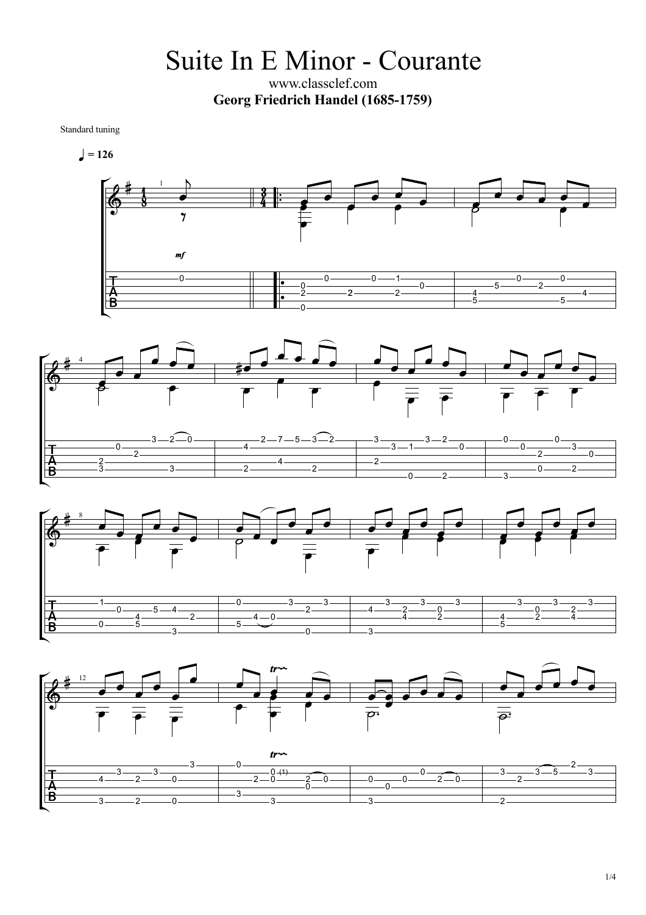Suite In E Minor - Courante

www.classclef.com **Georg Friedrich Handel (1685-1759)**

Standard tuning









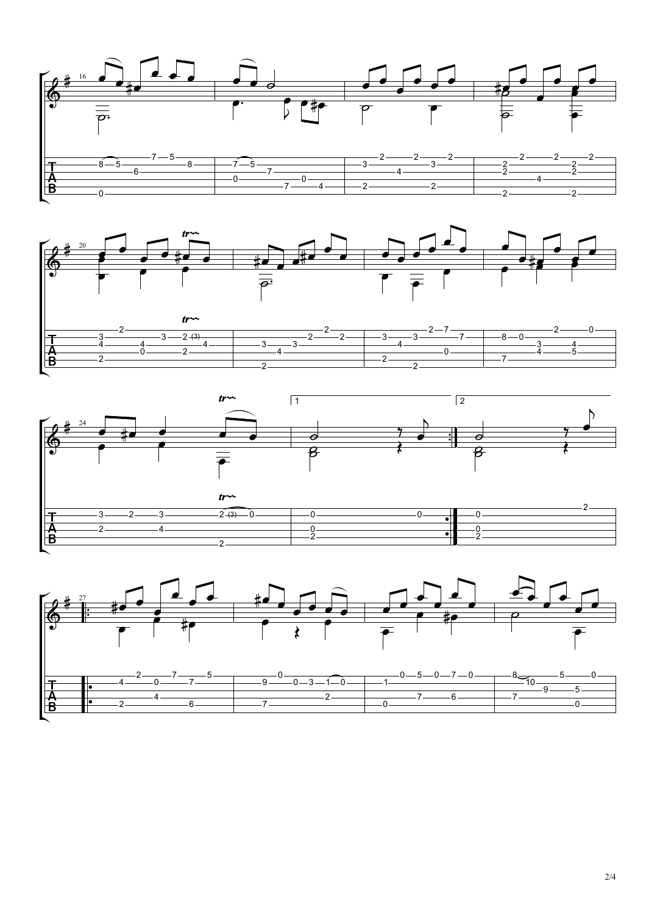





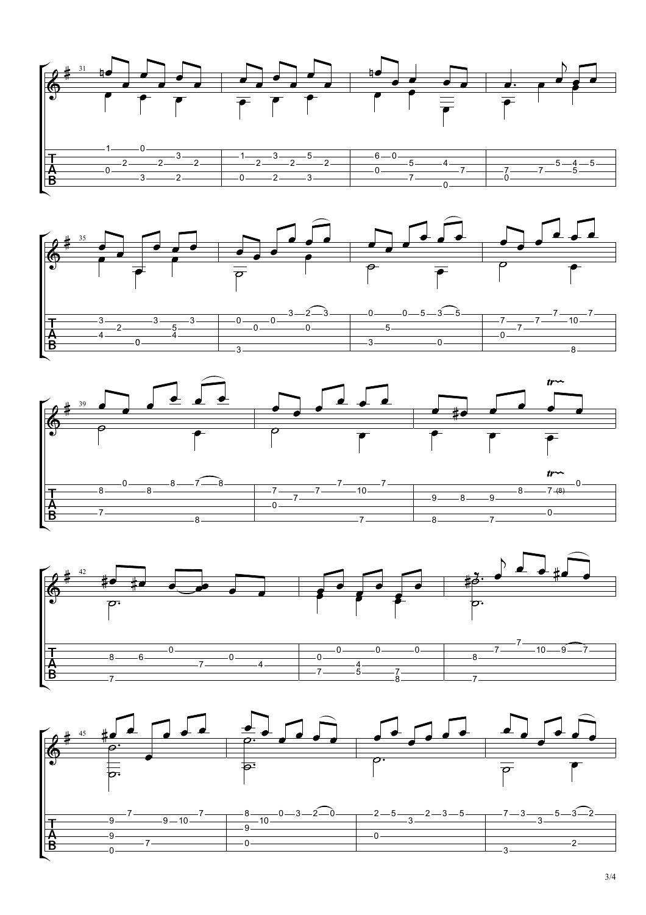